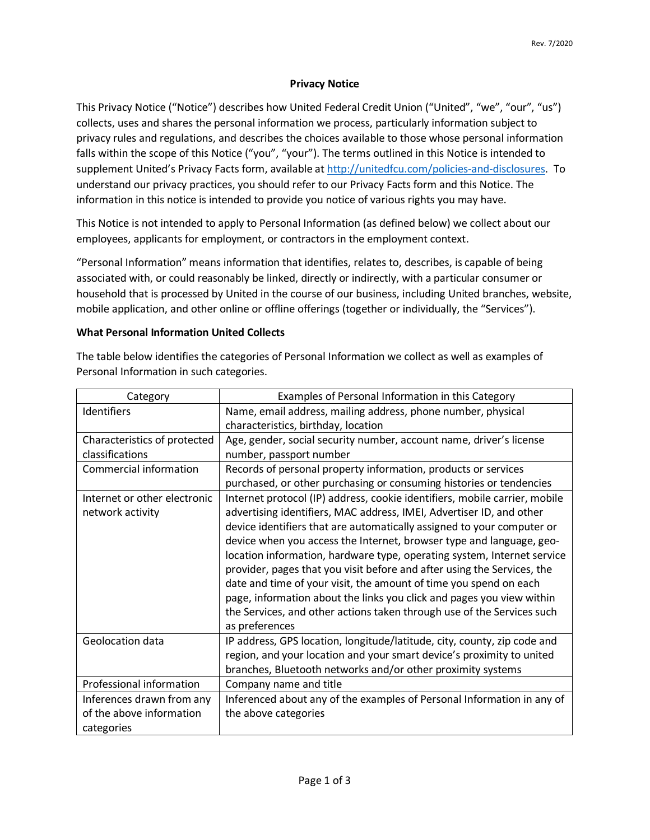## **Privacy Notice**

This Privacy Notice ("Notice") describes how United Federal Credit Union ("United", "we", "our", "us") collects, uses and shares the personal information we process, particularly information subject to privacy rules and regulations, and describes the choices available to those whose personal information falls within the scope of this Notice ("you", "your"). The terms outlined in this Notice is intended to supplement United's Privacy Facts form, available at [http://unitedfcu.com/policies-and-disclosures.](http://unitedfcu.com/policies-and-disclosures) To understand our privacy practices, you should refer to our Privacy Facts form and this Notice. The information in this notice is intended to provide you notice of various rights you may have.

This Notice is not intended to apply to Personal Information (as defined below) we collect about our employees, applicants for employment, or contractors in the employment context.

"Personal Information" means information that identifies, relates to, describes, is capable of being associated with, or could reasonably be linked, directly or indirectly, with a particular consumer or household that is processed by United in the course of our business, including United branches, website, mobile application, and other online or offline offerings (together or individually, the "Services").

## **What Personal Information United Collects**

The table below identifies the categories of Personal Information we collect as well as examples of Personal Information in such categories.

| Category                     | Examples of Personal Information in this Category                          |
|------------------------------|----------------------------------------------------------------------------|
| Identifiers                  | Name, email address, mailing address, phone number, physical               |
|                              | characteristics, birthday, location                                        |
| Characteristics of protected | Age, gender, social security number, account name, driver's license        |
| classifications              | number, passport number                                                    |
| Commercial information       | Records of personal property information, products or services             |
|                              | purchased, or other purchasing or consuming histories or tendencies        |
| Internet or other electronic | Internet protocol (IP) address, cookie identifiers, mobile carrier, mobile |
| network activity             | advertising identifiers, MAC address, IMEI, Advertiser ID, and other       |
|                              | device identifiers that are automatically assigned to your computer or     |
|                              | device when you access the Internet, browser type and language, geo-       |
|                              | location information, hardware type, operating system, Internet service    |
|                              | provider, pages that you visit before and after using the Services, the    |
|                              | date and time of your visit, the amount of time you spend on each          |
|                              | page, information about the links you click and pages you view within      |
|                              | the Services, and other actions taken through use of the Services such     |
|                              | as preferences                                                             |
| Geolocation data             | IP address, GPS location, longitude/latitude, city, county, zip code and   |
|                              | region, and your location and your smart device's proximity to united      |
|                              | branches, Bluetooth networks and/or other proximity systems                |
| Professional information     | Company name and title                                                     |
| Inferences drawn from any    | Inferenced about any of the examples of Personal Information in any of     |
| of the above information     | the above categories                                                       |
| categories                   |                                                                            |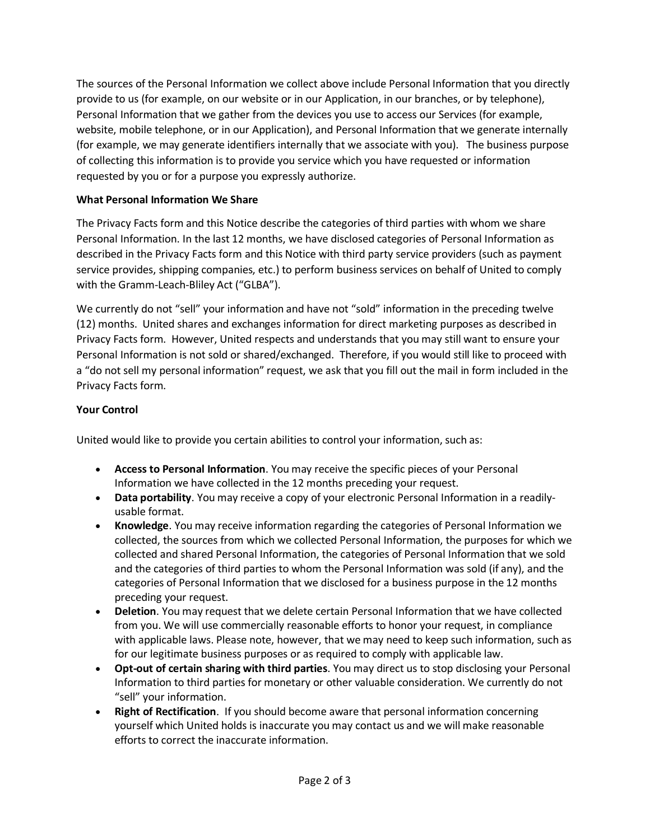The sources of the Personal Information we collect above include Personal Information that you directly provide to us (for example, on our website or in our Application, in our branches, or by telephone), Personal Information that we gather from the devices you use to access our Services (for example, website, mobile telephone, or in our Application), and Personal Information that we generate internally (for example, we may generate identifiers internally that we associate with you). The business purpose of collecting this information is to provide you service which you have requested or information requested by you or for a purpose you expressly authorize.

## **What Personal Information We Share**

The Privacy Facts form and this Notice describe the categories of third parties with whom we share Personal Information. In the last 12 months, we have disclosed categories of Personal Information as described in the Privacy Facts form and this Notice with third party service providers (such as payment service provides, shipping companies, etc.) to perform business services on behalf of United to comply with the Gramm-Leach-Bliley Act ("GLBA").

We currently do not "sell" your information and have not "sold" information in the preceding twelve (12) months. United shares and exchanges information for direct marketing purposes as described in Privacy Facts form. However, United respects and understands that you may still want to ensure your Personal Information is not sold or shared/exchanged. Therefore, if you would still like to proceed with a "do not sell my personal information" request, we ask that you fill out the mail in form included in the Privacy Facts form.

## **Your Control**

United would like to provide you certain abilities to control your information, such as:

- **Access to Personal Information**. You may receive the specific pieces of your Personal Information we have collected in the 12 months preceding your request.
- **Data portability**. You may receive a copy of your electronic Personal Information in a readilyusable format.
- **Knowledge**. You may receive information regarding the categories of Personal Information we collected, the sources from which we collected Personal Information, the purposes for which we collected and shared Personal Information, the categories of Personal Information that we sold and the categories of third parties to whom the Personal Information was sold (if any), and the categories of Personal Information that we disclosed for a business purpose in the 12 months preceding your request.
- **Deletion**. You may request that we delete certain Personal Information that we have collected from you. We will use commercially reasonable efforts to honor your request, in compliance with applicable laws. Please note, however, that we may need to keep such information, such as for our legitimate business purposes or as required to comply with applicable law.
- **Opt-out of certain sharing with third parties**. You may direct us to stop disclosing your Personal Information to third parties for monetary or other valuable consideration. We currently do not "sell" your information.
- **Right of Rectification**. If you should become aware that personal information concerning yourself which United holds is inaccurate you may contact us and we will make reasonable efforts to correct the inaccurate information.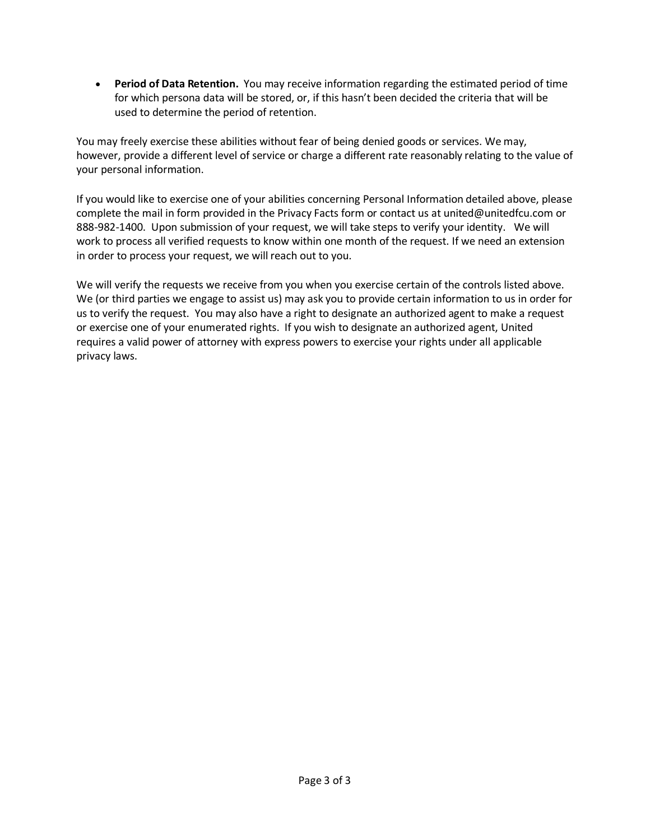• **Period of Data Retention.** You may receive information regarding the estimated period of time for which persona data will be stored, or, if this hasn't been decided the criteria that will be used to determine the period of retention.

You may freely exercise these abilities without fear of being denied goods or services. We may, however, provide a different level of service or charge a different rate reasonably relating to the value of your personal information.

If you would like to exercise one of your abilities concerning Personal Information detailed above, please complete the mail in form provided in the Privacy Facts form or contact us at united@unitedfcu.com or 888-982-1400. Upon submission of your request, we will take steps to verify your identity. We will work to process all verified requests to know within one month of the request. If we need an extension in order to process your request, we will reach out to you.

We will verify the requests we receive from you when you exercise certain of the controls listed above. We (or third parties we engage to assist us) may ask you to provide certain information to us in order for us to verify the request. You may also have a right to designate an authorized agent to make a request or exercise one of your enumerated rights. If you wish to designate an authorized agent, United requires a valid power of attorney with express powers to exercise your rights under all applicable privacy laws.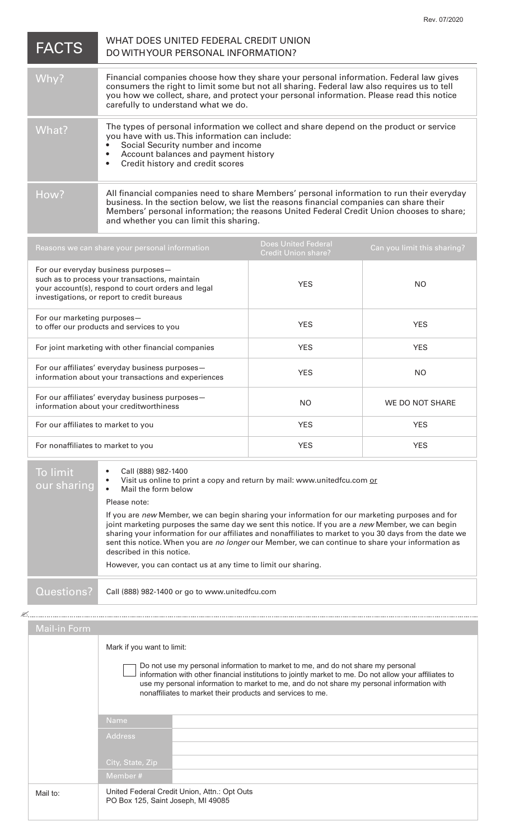| <b>FACTS</b> | WHAT DOES UNITED FEDERAL CREDIT UNION<br>DO WITH YOUR PERSONAL INFORMATION?                                                                                                                                                                                                                                                 |
|--------------|-----------------------------------------------------------------------------------------------------------------------------------------------------------------------------------------------------------------------------------------------------------------------------------------------------------------------------|
| Why?         | Financial companies choose how they share your personal information. Federal law gives<br>consumers the right to limit some but not all sharing. Federal law also requires us to tell<br>you how we collect, share, and protect your personal information. Please read this notice<br>carefully to understand what we do.   |
| What?        | The types of personal information we collect and share depend on the product or service<br>you have with us. This information can include:<br>Social Security number and income<br>Account balances and payment history<br>Credit history and credit scores                                                                 |
| How?         | All financial companies need to share Members' personal information to run their everyday<br>business. In the section below, we list the reasons financial companies can share their<br>Members' personal information; the reasons United Federal Credit Union chooses to share;<br>and whether you can limit this sharing. |

| Reasons we can share your personal information                                                                                                                                             | <b>Does United Federal</b><br><b>Credit Union share?</b> | Can you limit this sharing? |
|--------------------------------------------------------------------------------------------------------------------------------------------------------------------------------------------|----------------------------------------------------------|-----------------------------|
| For our everyday business purposes-<br>such as to process your transactions, maintain<br>your account(s), respond to court orders and legal<br>investigations, or report to credit bureaus | <b>YES</b>                                               | NO.                         |
| For our marketing purposes-<br>to offer our products and services to you                                                                                                                   | <b>YES</b>                                               | <b>YES</b>                  |
| For joint marketing with other financial companies                                                                                                                                         | <b>YES</b>                                               | <b>YES</b>                  |
| For our affiliates' everyday business purposes-<br>information about your transactions and experiences                                                                                     | <b>YES</b>                                               | NO.                         |
| For our affiliates' everyday business purposes-<br>information about your creditworthiness                                                                                                 | NO.                                                      | WE DO NOT SHARE             |
| For our affiliates to market to you                                                                                                                                                        | <b>YES</b>                                               | <b>YES</b>                  |
| For nonaffiliates to market to you                                                                                                                                                         | <b>YES</b>                                               | <b>YES</b>                  |
|                                                                                                                                                                                            |                                                          |                             |

| To limit<br>our sharing | Call (888) 982-1400<br>Visit us online to print a copy and return by mail: www.unitedfcu.com or<br>Mail the form below                                                                                                                                                                                                                                                                                                                                                                                            |  |
|-------------------------|-------------------------------------------------------------------------------------------------------------------------------------------------------------------------------------------------------------------------------------------------------------------------------------------------------------------------------------------------------------------------------------------------------------------------------------------------------------------------------------------------------------------|--|
|                         | Please note:                                                                                                                                                                                                                                                                                                                                                                                                                                                                                                      |  |
|                         | If you are new Member, we can begin sharing your information for our marketing purposes and for<br>joint marketing purposes the same day we sent this notice. If you are a new Member, we can begin<br>sharing your information for our affiliates and nonaffiliates to market to you 30 days from the date we<br>sent this notice. When you are no longer our Member, we can continue to share your information as<br>described in this notice.<br>However, you can contact us at any time to limit our sharing. |  |
|                         |                                                                                                                                                                                                                                                                                                                                                                                                                                                                                                                   |  |
| Questions?              | Call (888) 982-1400 or go to www.unitedfcu.com                                                                                                                                                                                                                                                                                                                                                                                                                                                                    |  |

K

Mail to: Mark if you want to limit: Do not use my personal information to market to me, and do not share my personal information with other financial institutions to jointly market to me. Do not allow your affiliates to use my personal information to market to me, and do not share my personal information with nonaffiliates to market their products and services to me. Member # United Federal Credit Union, Attn.: Opt Outs PO Box 125, Saint Joseph, MI 49085